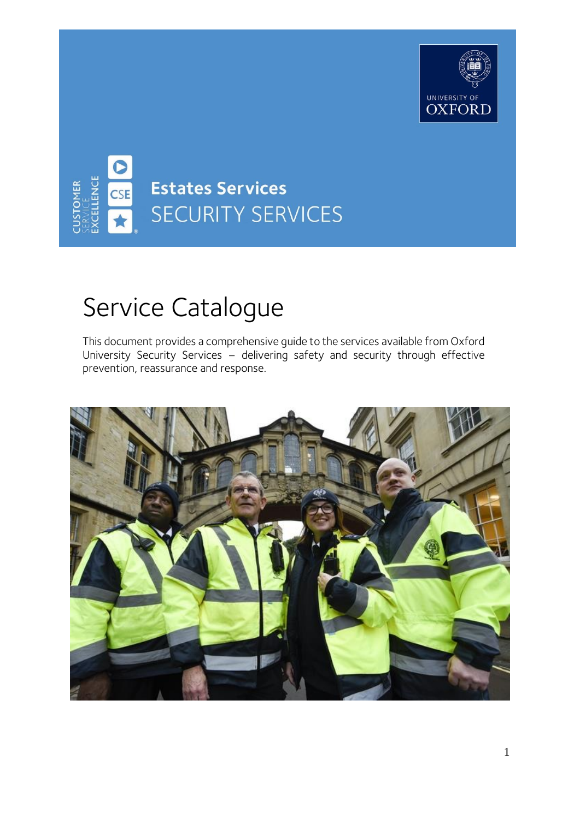



# Service Catalogue

This document provides a comprehensive guide to the services available from Oxford University Security Services – delivering safety and security through effective prevention, reassurance and response.

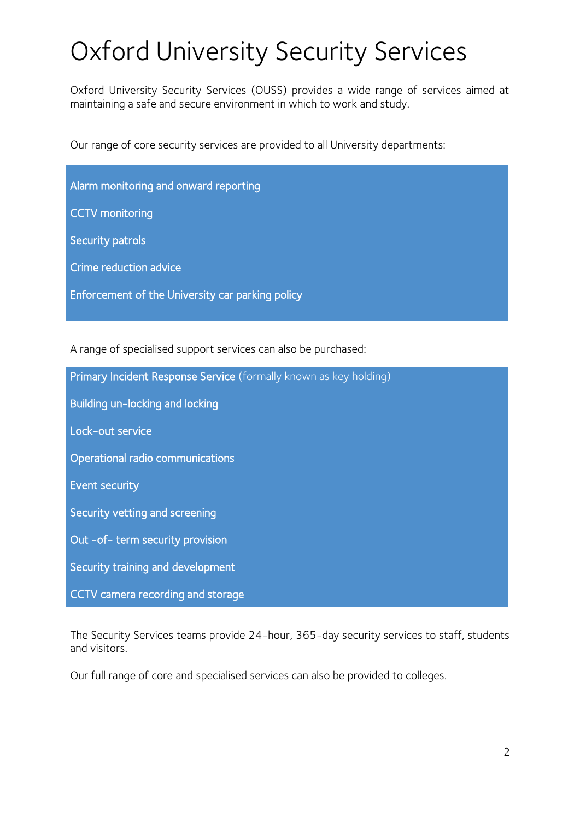# Oxford University Security Services

Oxford University Security Services (OUSS) provides a wide range of services aimed at maintaining a safe and secure environment in which to work and study.

Our range of core security services are provided to all University departments:

| Alarm monitoring and onward reporting            |
|--------------------------------------------------|
| <b>CCTV</b> monitoring                           |
| <b>Security patrols</b>                          |
| Crime reduction advice                           |
| Enforcement of the University car parking policy |

A range of specialised support services can also be purchased:

| Primary Incident Response Service (formally known as key holding) |
|-------------------------------------------------------------------|
| Building un-locking and locking                                   |
| Lock-out service                                                  |
| Operational radio communications                                  |
| <b>Event security</b>                                             |
| Security vetting and screening                                    |
| Out -of- term security provision                                  |
| Security training and development                                 |
| CCTV camera recording and storage                                 |

The Security Services teams provide 24-hour, 365-day security services to staff, students and visitors.

Our full range of core and specialised services can also be provided to colleges.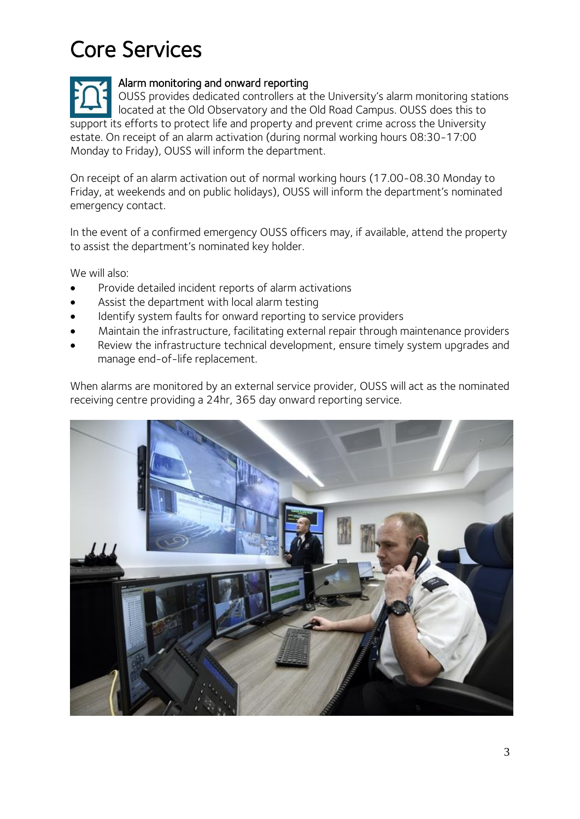# Core Services

Alarm monitoring and onward reporting OUSS provides dedicated controllers at the University's alarm monitoring stations located at the Old Observatory and the Old Road Campus. OUSS does this to support its efforts to protect life and property and prevent crime across the University estate. On receipt of an alarm activation (during normal working hours 08:30-17:00 Monday to Friday), OUSS will inform the department.

On receipt of an alarm activation out of normal working hours (17.00-08.30 Monday to Friday, at weekends and on public holidays), OUSS will inform the department's nominated emergency contact.

In the event of a confirmed emergency OUSS officers may, if available, attend the property to assist the department's nominated key holder.

We will also:

- Provide detailed incident reports of alarm activations
- Assist the department with local alarm testing
- Identify system faults for onward reporting to service providers
- Maintain the infrastructure, facilitating external repair through maintenance providers
- Review the infrastructure technical development, ensure timely system upgrades and manage end-of-life replacement.

When alarms are monitored by an external service provider, OUSS will act as the nominated receiving centre providing a 24hr, 365 day onward reporting service.

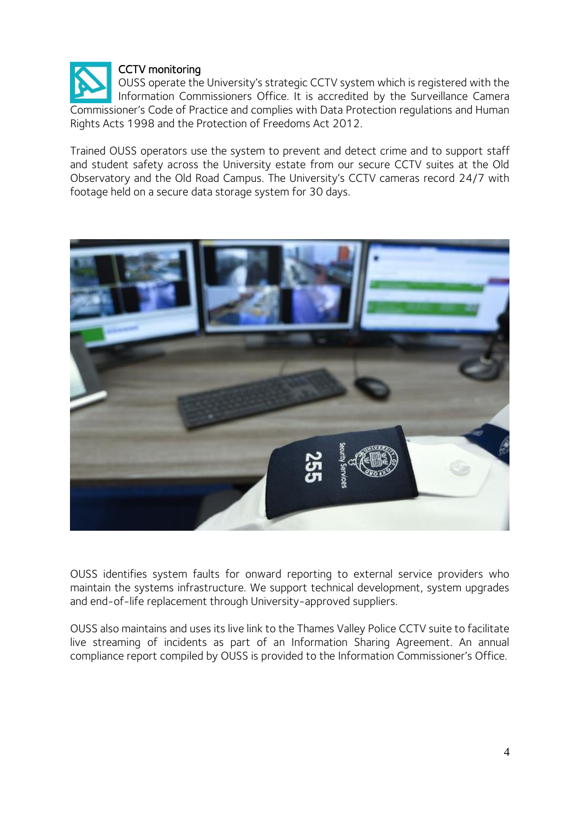

OUSS operate the University's strategic CCTV system which is registered with the Information Commissioners Office. It is accredited by the Surveillance Camera Commissioner's Code of Practice and complies with Data Protection regulations and Human Rights Acts 1998 and the Protection of Freedoms Act 2012.

Trained OUSS operators use the system to prevent and detect crime and to support staff and student safety across the University estate from our secure CCTV suites at the Old Observatory and the Old Road Campus. The University's CCTV cameras record 24/7 with footage held on a secure data storage system for 30 days.



OUSS identifies system faults for onward reporting to external service providers who maintain the systems infrastructure. We support technical development, system upgrades and end-of-life replacement through University-approved suppliers.

OUSS also maintains and uses its live link to the Thames Valley Police CCTV suite to facilitate live streaming of incidents as part of an Information Sharing Agreement. An annual compliance report compiled by OUSS is provided to the Information Commissioner's Office.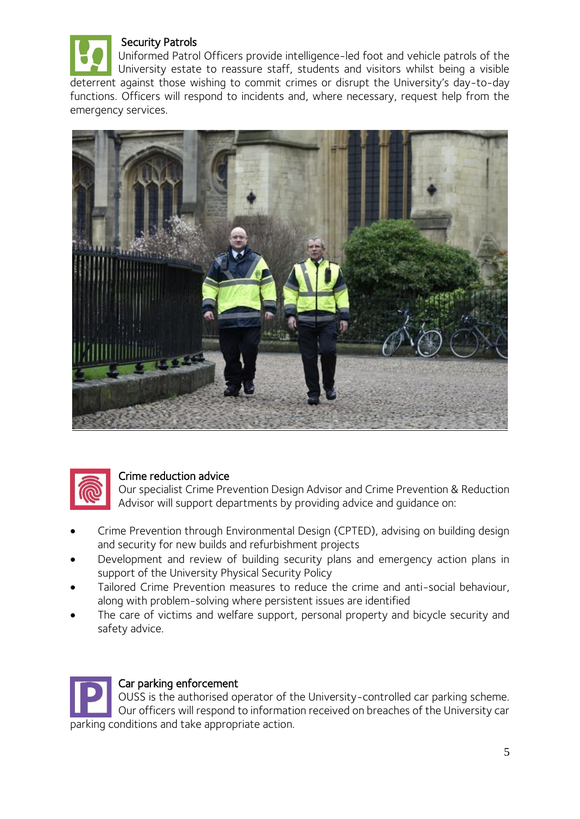

Uniformed Patrol Officers provide intelligence-led foot and vehicle patrols of the University estate to reassure staff, students and visitors whilst being a visible deterrent against those wishing to commit crimes or disrupt the University's day-to-day functions. Officers will respond to incidents and, where necessary, request help from the emergency services.





### Crime reduction advice

Our specialist Crime Prevention Design Advisor and Crime Prevention & Reduction Advisor will support departments by providing advice and guidance on:

- Crime Prevention through Environmental Design (CPTED), advising on building design and security for new builds and refurbishment projects
- Development and review of building security plans and emergency action plans in support of the University Physical Security Policy
- Tailored Crime Prevention measures to reduce the crime and anti-social behaviour, along with problem-solving where persistent issues are identified
- The care of victims and welfare support, personal property and bicycle security and safety advice.

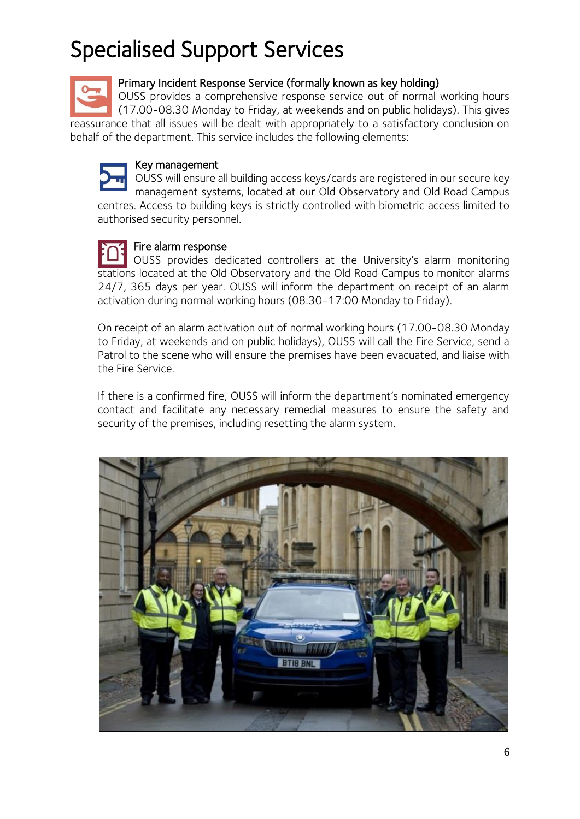# Specialised Support Services

## Primary Incident Response Service (formally known as key holding)

OUSS provides a comprehensive response service out of normal working hours (17.00-08.30 Monday to Friday, at weekends and on public holidays). This gives reassurance that all issues will be dealt with appropriately to a satisfactory conclusion on behalf of the department. This service includes the following elements:



#### Key management

OUSS will ensure all building access keys/cards are registered in our secure key management systems, located at our Old Observatory and Old Road Campus centres. Access to building keys is strictly controlled with biometric access limited to authorised security personnel.

# Fire alarm response

OUSS provides dedicated controllers at the University's alarm monitoring stations located at the Old Observatory and the Old Road Campus to monitor alarms 24/7, 365 days per year. OUSS will inform the department on receipt of an alarm activation during normal working hours (08:30-17:00 Monday to Friday).

On receipt of an alarm activation out of normal working hours (17.00-08.30 Monday to Friday, at weekends and on public holidays), OUSS will call the Fire Service, send a Patrol to the scene who will ensure the premises have been evacuated, and liaise with the Fire Service.

If there is a confirmed fire, OUSS will inform the department's nominated emergency contact and facilitate any necessary remedial measures to ensure the safety and security of the premises, including resetting the alarm system.

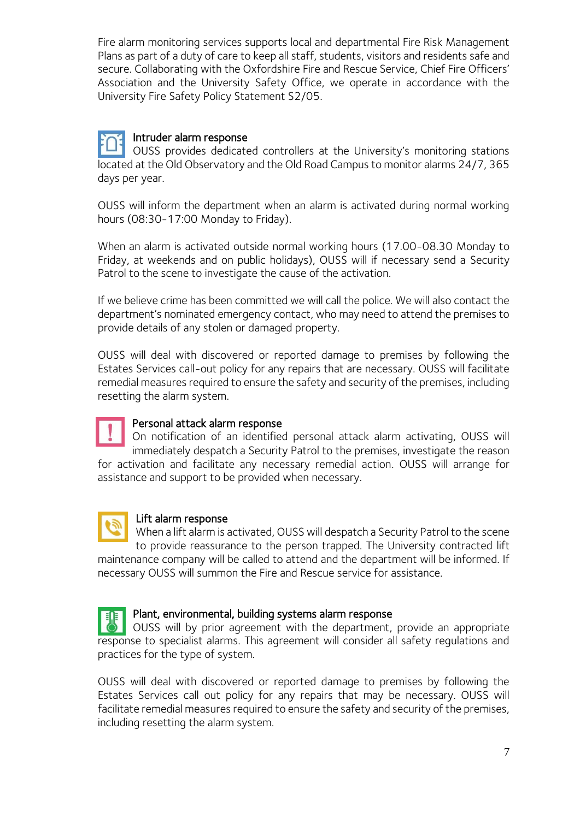Fire alarm monitoring services supports local and departmental Fire Risk Management Plans as part of a duty of care to keep all staff, students, visitors and residents safe and secure. Collaborating with the Oxfordshire Fire and Rescue Service, Chief Fire Officers' Association and the University Safety Office, we operate in accordance with the University Fire Safety Policy Statement S2/05.

# Intruder alarm response

OUSS provides dedicated controllers at the University's monitoring stations located at the Old Observatory and the Old Road Campus to monitor alarms 24/7, 365 days per year.

OUSS will inform the department when an alarm is activated during normal working hours (08:30-17:00 Monday to Friday).

When an alarm is activated outside normal working hours (17.00-08.30 Monday to Friday, at weekends and on public holidays), OUSS will if necessary send a Security Patrol to the scene to investigate the cause of the activation.

If we believe crime has been committed we will call the police. We will also contact the department's nominated emergency contact, who may need to attend the premises to provide details of any stolen or damaged property.

OUSS will deal with discovered or reported damage to premises by following the Estates Services call-out policy for any repairs that are necessary. OUSS will facilitate remedial measures required to ensure the safety and security of the premises, including resetting the alarm system.



### Personal attack alarm response

On notification of an identified personal attack alarm activating, OUSS will immediately despatch a Security Patrol to the premises, investigate the reason for activation and facilitate any necessary remedial action. OUSS will arrange for assistance and support to be provided when necessary.



### Lift alarm response

When a lift alarm is activated, OUSS will despatch a Security Patrol to the scene to provide reassurance to the person trapped. The University contracted lift maintenance company will be called to attend and the department will be informed. If necessary OUSS will summon the Fire and Rescue service for assistance.



### Plant, environmental, building systems alarm response

OUSS will by prior agreement with the department, provide an appropriate response to specialist alarms. This agreement will consider all safety regulations and practices for the type of system.

OUSS will deal with discovered or reported damage to premises by following the Estates Services call out policy for any repairs that may be necessary. OUSS will facilitate remedial measures required to ensure the safety and security of the premises, including resetting the alarm system.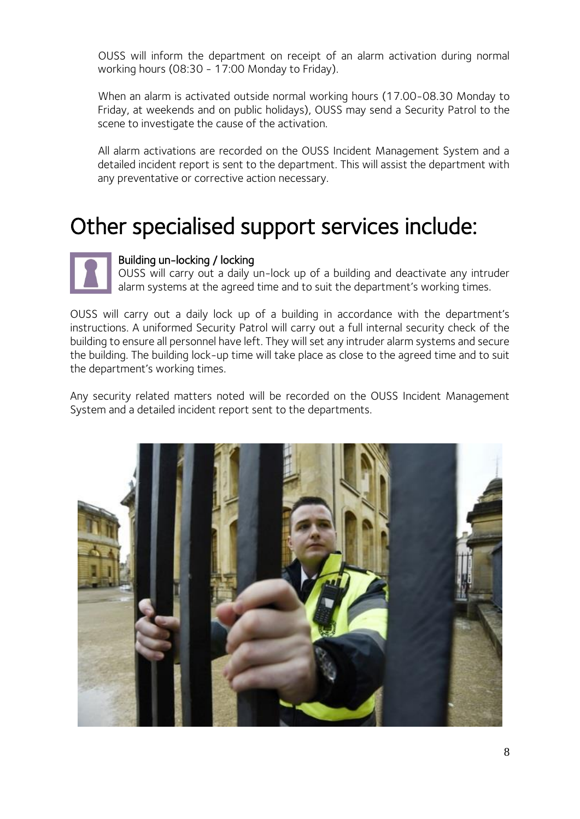OUSS will inform the department on receipt of an alarm activation during normal working hours (08:30 - 17:00 Monday to Friday).

When an alarm is activated outside normal working hours (17.00-08.30 Monday to Friday, at weekends and on public holidays), OUSS may send a Security Patrol to the scene to investigate the cause of the activation.

All alarm activations are recorded on the OUSS Incident Management System and a detailed incident report is sent to the department. This will assist the department with any preventative or corrective action necessary.

# Other specialised support services include:

### Building un-locking / locking

OUSS will carry out a daily un-lock up of a building and deactivate any intruder alarm systems at the agreed time and to suit the department's working times.

OUSS will carry out a daily lock up of a building in accordance with the department's instructions. A uniformed Security Patrol will carry out a full internal security check of the building to ensure all personnel have left. They will set any intruder alarm systems and secure the building. The building lock-up time will take place as close to the agreed time and to suit the department's working times.

Any security related matters noted will be recorded on the OUSS Incident Management System and a detailed incident report sent to the departments.

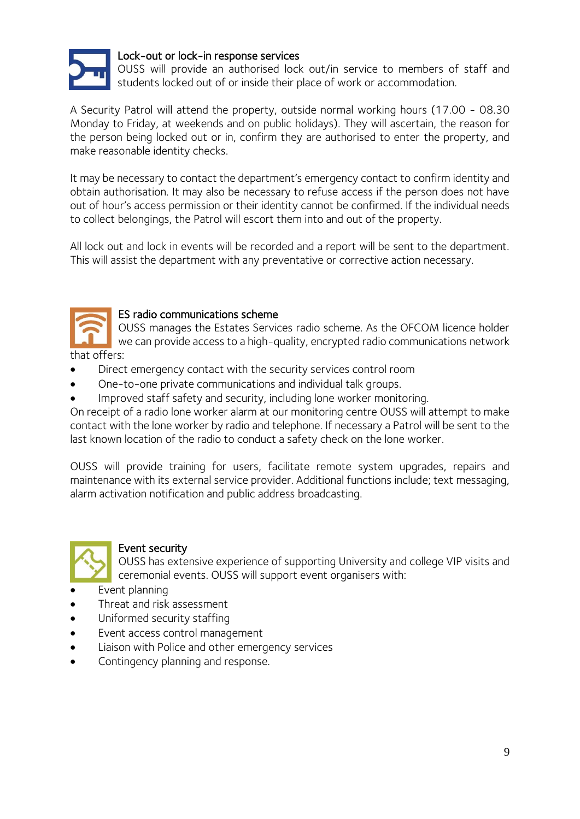

#### Lock-out or lock-in response services

OUSS will provide an authorised lock out/in service to members of staff and students locked out of or inside their place of work or accommodation.

A Security Patrol will attend the property, outside normal working hours (17.00 - 08.30 Monday to Friday, at weekends and on public holidays). They will ascertain, the reason for the person being locked out or in, confirm they are authorised to enter the property, and make reasonable identity checks.

It may be necessary to contact the department's emergency contact to confirm identity and obtain authorisation. It may also be necessary to refuse access if the person does not have out of hour's access permission or their identity cannot be confirmed. If the individual needs to collect belongings, the Patrol will escort them into and out of the property.

All lock out and lock in events will be recorded and a report will be sent to the department. This will assist the department with any preventative or corrective action necessary.



#### ES radio communications scheme

OUSS manages the Estates Services radio scheme. As the OFCOM licence holder we can provide access to a high-quality, encrypted radio communications network that offers:

- Direct emergency contact with the security services control room
- One-to-one private communications and individual talk groups.
- Improved staff safety and security, including lone worker monitoring.

On receipt of a radio lone worker alarm at our monitoring centre OUSS will attempt to make contact with the lone worker by radio and telephone. If necessary a Patrol will be sent to the last known location of the radio to conduct a safety check on the lone worker.

OUSS will provide training for users, facilitate remote system upgrades, repairs and maintenance with its external service provider. Additional functions include; text messaging, alarm activation notification and public address broadcasting.



#### Event security

OUSS has extensive experience of supporting University and college VIP visits and ceremonial events. OUSS will support event organisers with:

- Event planning
- Threat and risk assessment
- Uniformed security staffing
- Event access control management
- Liaison with Police and other emergency services
- Contingency planning and response.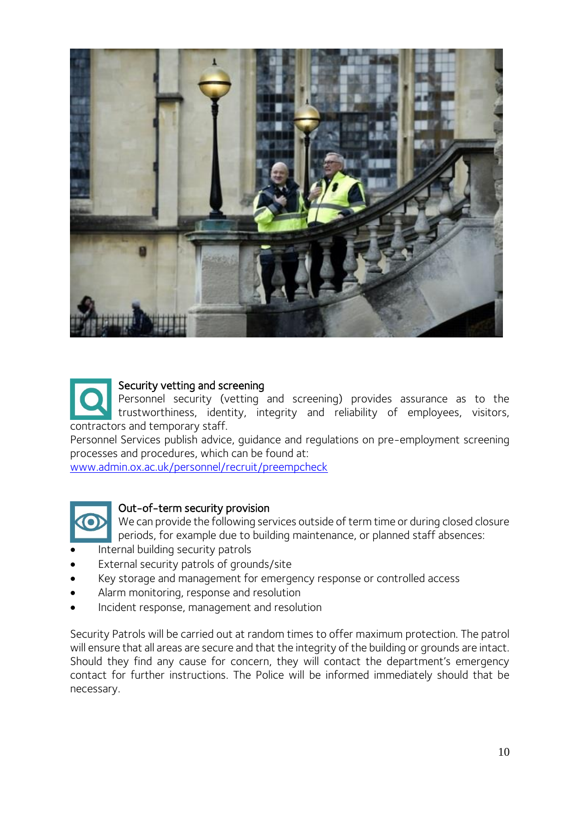

Security vetting and screening Personnel security (vetting and screening) provides assurance as to the trustworthiness, identity, integrity and reliability of employees, visitors, contractors and temporary staff.

Personnel Services publish advice, guidance and regulations on pre-employment screening processes and procedures, which can be found at:

[www.admin.ox.ac.uk/personnel/recruit/preempcheck](http://www.admin.ox.ac.uk/personnel/recruit/preempcheck/)



#### Out-of-term security provision

We can provide the following services outside of term time or during closed closure periods, for example due to building maintenance, or planned staff absences:

- Internal building security patrols
- External security patrols of grounds/site
- Key storage and management for emergency response or controlled access
- Alarm monitoring, response and resolution
- Incident response, management and resolution

Security Patrols will be carried out at random times to offer maximum protection. The patrol will ensure that all areas are secure and that the integrity of the building or grounds are intact. Should they find any cause for concern, they will contact the department's emergency contact for further instructions. The Police will be informed immediately should that be necessary.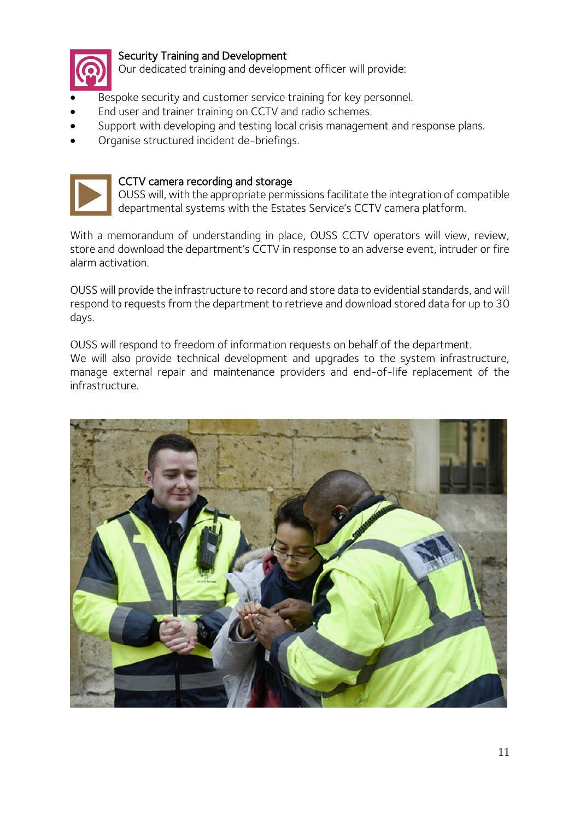

#### Security Training and Development

Our dedicated training and development officer will provide:

- Bespoke security and customer service training for key personnel.
- End user and trainer training on CCTV and radio schemes.
- Support with developing and testing local crisis management and response plans.
- Organise structured incident de-briefings.



#### CCTV camera recording and storage

OUSS will, with the appropriate permissions facilitate the integration of compatible departmental systems with the Estates Service's CCTV camera platform.

With a memorandum of understanding in place, OUSS CCTV operators will view, review, store and download the department's CCTV in response to an adverse event, intruder or fire alarm activation.

OUSS will provide the infrastructure to record and store data to evidential standards, and will respond to requests from the department to retrieve and download stored data for up to 30 days.

OUSS will respond to freedom of information requests on behalf of the department. We will also provide technical development and upgrades to the system infrastructure, manage external repair and maintenance providers and end-of-life replacement of the infrastructure.